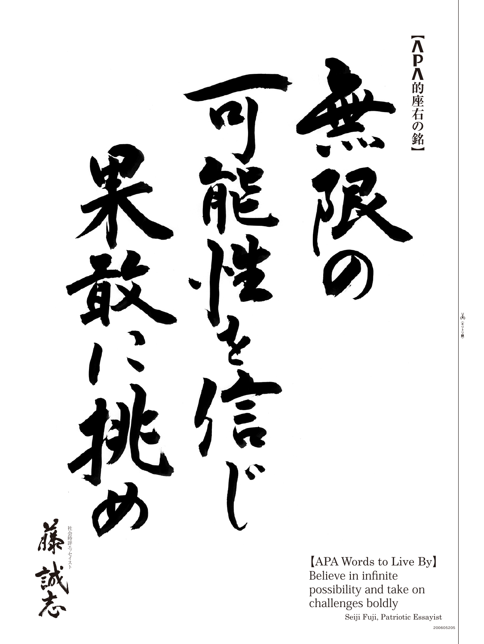

8 全りトリ線